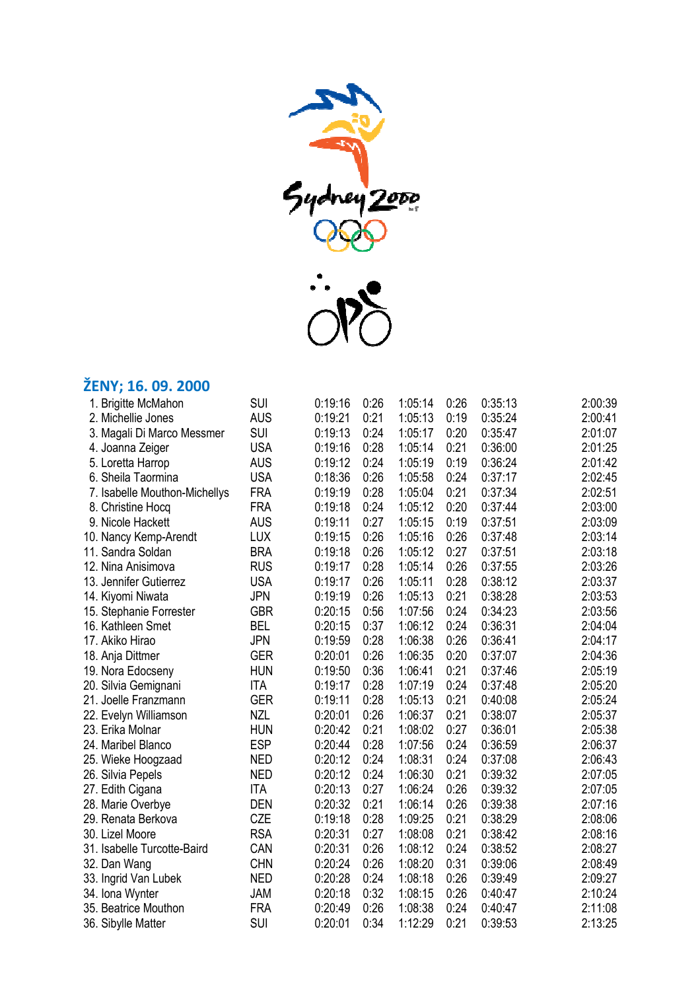

## **ŽENY; 16. 09. 2000**

| 1. Brigitte McMahon           | <b>SUI</b> | 0:19:16 | 0:26 | 1:05:14 | 0:26 | 0:35:13 | 2:00:39 |
|-------------------------------|------------|---------|------|---------|------|---------|---------|
| 2. Michellie Jones            | <b>AUS</b> | 0:19:21 | 0:21 | 1:05:13 | 0:19 | 0:35:24 | 2:00:41 |
| 3. Magali Di Marco Messmer    | <b>SUI</b> | 0:19:13 | 0:24 | 1:05:17 | 0:20 | 0:35:47 | 2:01:07 |
| 4. Joanna Zeiger              | <b>USA</b> | 0:19:16 | 0:28 | 1:05:14 | 0:21 | 0:36:00 | 2:01:25 |
| 5. Loretta Harrop             | <b>AUS</b> | 0:19:12 | 0:24 | 1:05:19 | 0:19 | 0:36:24 | 2:01:42 |
| 6. Sheila Taormina            | <b>USA</b> | 0:18:36 | 0:26 | 1:05:58 | 0:24 | 0:37:17 | 2:02:45 |
| 7. Isabelle Mouthon-Michellys | <b>FRA</b> | 0:19:19 | 0:28 | 1:05:04 | 0:21 | 0:37:34 | 2:02:51 |
| 8. Christine Hocq             | <b>FRA</b> | 0:19:18 | 0:24 | 1:05:12 | 0:20 | 0:37:44 | 2:03:00 |
| 9. Nicole Hackett             | <b>AUS</b> | 0:19:11 | 0:27 | 1:05:15 | 0:19 | 0:37:51 | 2:03:09 |
| 10. Nancy Kemp-Arendt         | <b>LUX</b> | 0:19:15 | 0:26 | 1:05:16 | 0:26 | 0:37:48 | 2:03:14 |
| 11. Sandra Soldan             | <b>BRA</b> | 0:19:18 | 0:26 | 1:05:12 | 0:27 | 0:37:51 | 2:03:18 |
| 12. Nina Anisimova            | <b>RUS</b> | 0:19:17 | 0:28 | 1:05:14 | 0:26 | 0:37:55 | 2:03:26 |
| 13. Jennifer Gutierrez        | <b>USA</b> | 0:19:17 | 0:26 | 1:05:11 | 0:28 | 0:38:12 | 2:03:37 |
| 14. Kiyomi Niwata             | <b>JPN</b> | 0:19:19 | 0:26 | 1:05:13 | 0:21 | 0:38:28 | 2:03:53 |
| 15. Stephanie Forrester       | <b>GBR</b> | 0:20:15 | 0:56 | 1:07:56 | 0:24 | 0:34:23 | 2:03:56 |
| 16. Kathleen Smet             | <b>BEL</b> | 0:20:15 | 0:37 | 1:06:12 | 0:24 | 0:36:31 | 2:04:04 |
| 17. Akiko Hirao               | <b>JPN</b> | 0:19:59 | 0:28 | 1:06:38 | 0:26 | 0:36:41 | 2:04:17 |
| 18. Anja Dittmer              | <b>GER</b> | 0:20:01 | 0:26 | 1:06:35 | 0:20 | 0:37:07 | 2:04:36 |
| 19. Nora Edocseny             | <b>HUN</b> | 0:19:50 | 0:36 | 1:06:41 | 0:21 | 0:37:46 | 2:05:19 |
| 20. Silvia Gemignani          | <b>ITA</b> | 0:19:17 | 0:28 | 1:07:19 | 0:24 | 0:37:48 | 2:05:20 |
| 21. Joelle Franzmann          | <b>GER</b> | 0:19:11 | 0:28 | 1:05:13 | 0:21 | 0:40:08 | 2:05:24 |
| 22. Evelyn Williamson         | <b>NZL</b> | 0:20:01 | 0:26 | 1:06:37 | 0:21 | 0:38:07 | 2:05:37 |
| 23. Erika Molnar              | <b>HUN</b> | 0:20:42 | 0:21 | 1:08:02 | 0:27 | 0:36:01 | 2:05:38 |
| 24. Maribel Blanco            | <b>ESP</b> | 0:20:44 | 0:28 | 1:07:56 | 0:24 | 0:36:59 | 2:06:37 |
| 25. Wieke Hoogzaad            | <b>NED</b> | 0:20:12 | 0:24 | 1:08:31 | 0:24 | 0:37:08 | 2:06:43 |
| 26. Silvia Pepels             | <b>NED</b> | 0:20:12 | 0:24 | 1:06:30 | 0:21 | 0:39:32 | 2:07:05 |
| 27. Edith Cigana              | <b>ITA</b> | 0:20:13 | 0:27 | 1:06:24 | 0:26 | 0:39:32 | 2:07:05 |
| 28. Marie Overbye             | <b>DEN</b> | 0:20:32 | 0:21 | 1:06:14 | 0:26 | 0:39:38 | 2:07:16 |
| 29. Renata Berkova            | <b>CZE</b> | 0:19:18 | 0:28 | 1:09:25 | 0:21 | 0:38:29 | 2:08:06 |
| 30. Lizel Moore               | <b>RSA</b> | 0:20:31 | 0:27 | 1:08:08 | 0:21 | 0:38:42 | 2:08:16 |
| 31. Isabelle Turcotte-Baird   | CAN        | 0:20:31 | 0:26 | 1:08:12 | 0:24 | 0:38:52 | 2:08:27 |
| 32. Dan Wang                  | <b>CHN</b> | 0:20:24 | 0:26 | 1:08:20 | 0:31 | 0:39:06 | 2:08:49 |
| 33. Ingrid Van Lubek          | <b>NED</b> | 0:20:28 | 0:24 | 1:08:18 | 0:26 | 0:39:49 | 2:09:27 |
| 34. Iona Wynter               | JAM        | 0:20:18 | 0:32 | 1:08:15 | 0:26 | 0:40:47 | 2:10:24 |
| 35. Beatrice Mouthon          | <b>FRA</b> | 0:20:49 | 0:26 | 1:08:38 | 0:24 | 0:40:47 | 2:11:08 |
| 36. Sibylle Matter            | <b>SUI</b> | 0:20:01 | 0:34 | 1:12:29 | 0:21 | 0:39:53 | 2:13:25 |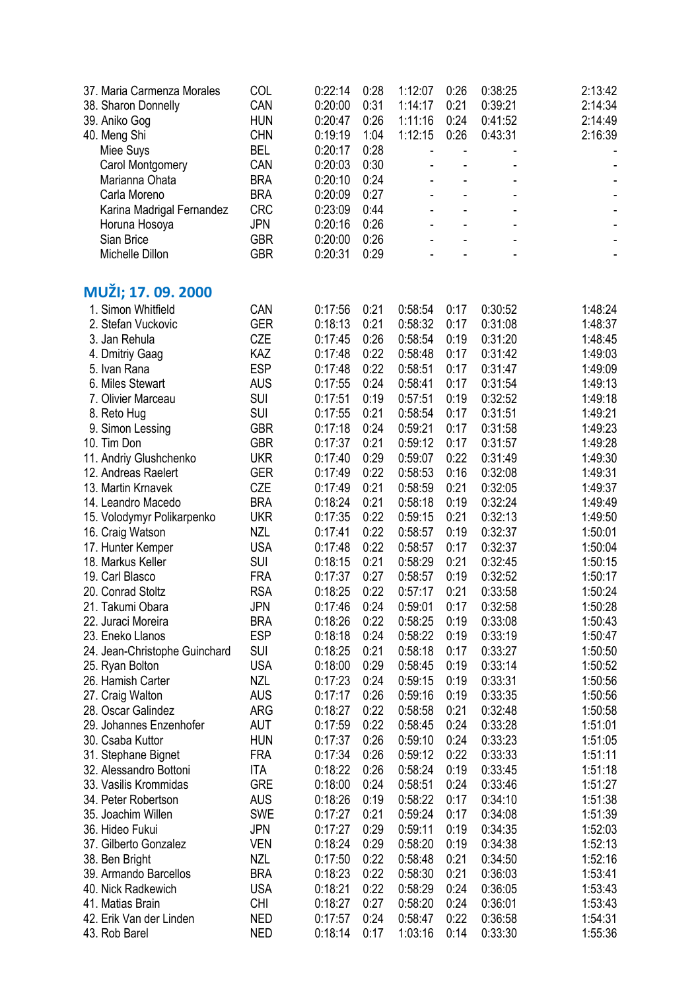| 37. Maria Carmenza Morales    | COL        | 0:22:14 | 0:28 | 1:12:07                      | 0:26 | 0:38:25 | 2:13:42                      |
|-------------------------------|------------|---------|------|------------------------------|------|---------|------------------------------|
| 38. Sharon Donnelly           | CAN        | 0:20:00 | 0:31 | 1:14:17                      | 0:21 | 0:39:21 | 2:14:34                      |
| 39. Aniko Gog                 | <b>HUN</b> | 0:20:47 | 0:26 | 1:11:16                      | 0:24 | 0:41:52 | 2:14:49                      |
| 40. Meng Shi                  | <b>CHN</b> | 0:19:19 | 1:04 | 1:12:15                      | 0:26 | 0:43:31 | 2:16:39                      |
| Miee Suys                     | <b>BEL</b> | 0:20:17 | 0:28 | $\qquad \qquad \blacksquare$ |      |         |                              |
| Carol Montgomery              | CAN        | 0:20:03 | 0:30 | $\blacksquare$               |      |         |                              |
| Marianna Ohata                | <b>BRA</b> | 0:20:10 | 0:24 | $\blacksquare$               |      |         |                              |
| Carla Moreno                  | <b>BRA</b> | 0:20:09 | 0:27 | $\blacksquare$               |      |         |                              |
| Karina Madrigal Fernandez     | <b>CRC</b> | 0:23:09 | 0:44 | $\blacksquare$               | ÷,   |         |                              |
| Horuna Hosoya                 | <b>JPN</b> | 0:20:16 | 0:26 | ä,                           | ä,   |         | $\qquad \qquad \blacksquare$ |
| Sian Brice                    | <b>GBR</b> | 0:20:00 | 0:26 |                              |      |         | $\qquad \qquad \blacksquare$ |
| Michelle Dillon               | <b>GBR</b> | 0:20:31 | 0:29 |                              |      |         |                              |
| MUŽI; 17. 09. 2000            |            |         |      |                              |      |         |                              |
| 1. Simon Whitfield            | CAN        | 0:17:56 | 0:21 | 0:58:54                      | 0:17 | 0:30:52 | 1:48:24                      |
| 2. Stefan Vuckovic            | <b>GER</b> | 0:18:13 | 0:21 | 0:58:32                      | 0:17 | 0:31:08 | 1:48:37                      |
| 3. Jan Rehula                 | CZE        | 0:17:45 | 0:26 | 0:58:54                      | 0:19 | 0:31:20 | 1:48:45                      |
| 4. Dmitriy Gaag               | KAZ        | 0:17:48 | 0:22 | 0:58:48                      | 0:17 | 0:31:42 | 1:49:03                      |
| 5. Ivan Rana                  | <b>ESP</b> | 0:17:48 | 0:22 | 0:58:51                      | 0:17 | 0:31:47 | 1:49:09                      |
| 6. Miles Stewart              | <b>AUS</b> | 0:17:55 | 0:24 | 0:58:41                      | 0:17 | 0:31:54 | 1:49:13                      |
| 7. Olivier Marceau            | <b>SUI</b> | 0:17:51 | 0:19 | 0:57:51                      | 0:19 | 0:32:52 | 1:49:18                      |
| 8. Reto Hug                   | SUI        | 0:17:55 | 0:21 | 0:58:54                      | 0:17 | 0:31:51 | 1:49:21                      |
| 9. Simon Lessing              | <b>GBR</b> | 0:17:18 | 0:24 | 0:59:21                      | 0:17 | 0:31:58 | 1:49:23                      |
| 10. Tim Don                   | <b>GBR</b> | 0:17:37 | 0:21 | 0:59:12                      | 0:17 | 0:31:57 | 1:49:28                      |
| 11. Andriy Glushchenko        | <b>UKR</b> | 0:17:40 | 0:29 | 0:59:07                      | 0:22 | 0:31:49 | 1:49:30                      |
| 12. Andreas Raelert           | <b>GER</b> | 0:17:49 | 0:22 | 0:58:53                      | 0:16 | 0:32:08 | 1:49:31                      |
| 13. Martin Krnavek            | CZE        | 0:17:49 | 0:21 | 0:58:59                      | 0:21 | 0:32:05 | 1:49:37                      |
| 14. Leandro Macedo            | <b>BRA</b> | 0:18:24 | 0:21 | 0:58:18                      | 0:19 | 0:32:24 | 1:49:49                      |
| 15. Volodymyr Polikarpenko    | <b>UKR</b> | 0:17:35 | 0:22 | 0:59:15                      | 0:21 | 0:32:13 | 1:49:50                      |
| 16. Craig Watson              | <b>NZL</b> | 0:17:41 | 0:22 | 0:58:57                      | 0:19 | 0:32:37 | 1:50:01                      |
| 17. Hunter Kemper             | <b>USA</b> | 0:17:48 | 0:22 | 0:58:57                      | 0:17 | 0:32:37 | 1:50:04                      |
| 18. Markus Keller             | <b>SUI</b> | 0:18:15 | 0:21 | 0:58:29                      | 0:21 | 0:32:45 | 1:50:15                      |
| 19. Carl Blasco               | <b>FRA</b> | 0:17:37 | 0:27 | 0:58:57                      | 0:19 | 0:32:52 | 1:50:17                      |
| 20. Conrad Stoltz             | <b>RSA</b> | 0:18:25 | 0:22 | 0:57:17                      | 0:21 | 0:33:58 | 1:50:24                      |
| 21. Takumi Obara              | JPN        | 0:17:46 | 0:24 | 0:59:01                      | 0:17 | 0:32:58 | 1:50:28                      |
| 22. Juraci Moreira            | <b>BRA</b> | 0:18:26 | 0:22 | 0:58:25                      | 0:19 | 0:33:08 | 1:50:43                      |
| 23. Eneko Llanos              | <b>ESP</b> | 0:18:18 | 0:24 | 0:58:22                      | 0:19 | 0:33:19 | 1:50:47                      |
| 24. Jean-Christophe Guinchard | <b>SUI</b> | 0:18:25 | 0:21 | 0:58:18                      | 0:17 | 0:33:27 | 1:50:50                      |
| 25. Ryan Bolton               | <b>USA</b> | 0:18:00 | 0:29 | 0:58:45                      | 0:19 | 0:33:14 | 1:50:52                      |
| 26. Hamish Carter             | <b>NZL</b> | 0:17:23 | 0:24 | 0:59:15                      | 0:19 | 0:33:31 | 1:50:56                      |
| 27. Craig Walton              | <b>AUS</b> | 0:17:17 | 0:26 | 0:59:16                      | 0:19 | 0:33:35 | 1:50:56                      |
| 28. Oscar Galindez            | ARG        | 0:18:27 | 0:22 | 0:58:58                      | 0:21 | 0:32:48 | 1:50:58                      |
| 29. Johannes Enzenhofer       | AUT        | 0:17:59 | 0:22 | 0:58:45                      | 0:24 | 0:33:28 | 1:51:01                      |
| 30. Csaba Kuttor              | <b>HUN</b> | 0:17:37 | 0:26 | 0:59:10                      | 0:24 | 0:33:23 | 1:51:05                      |
| 31. Stephane Bignet           | <b>FRA</b> | 0:17:34 | 0:26 | 0:59:12                      | 0:22 | 0:33:33 | 1:51:11                      |
| 32. Alessandro Bottoni        | <b>ITA</b> | 0:18:22 | 0:26 | 0:58:24                      | 0:19 | 0:33:45 | 1:51:18                      |
| 33. Vasilis Krommidas         | <b>GRE</b> | 0:18:00 | 0:24 | 0:58:51                      | 0:24 | 0:33:46 | 1:51:27                      |
| 34. Peter Robertson           | <b>AUS</b> | 0:18:26 | 0:19 | 0:58:22                      | 0:17 | 0:34:10 | 1:51:38                      |
| 35. Joachim Willen            | <b>SWE</b> | 0:17:27 | 0:21 | 0:59:24                      | 0:17 | 0:34:08 | 1:51:39                      |
| 36. Hideo Fukui               | JPN        | 0:17:27 | 0:29 | 0:59:11                      | 0:19 | 0:34:35 | 1:52:03                      |
| 37. Gilberto Gonzalez         | <b>VEN</b> | 0:18:24 | 0:29 | 0:58:20                      | 0:19 | 0:34:38 | 1:52:13                      |
| 38. Ben Bright                | <b>NZL</b> | 0:17:50 | 0:22 | 0:58:48                      | 0:21 | 0:34:50 | 1:52:16                      |
| 39. Armando Barcellos         | <b>BRA</b> | 0:18:23 | 0:22 | 0:58:30                      | 0:21 | 0:36:03 | 1:53:41                      |
| 40. Nick Radkewich            | <b>USA</b> | 0:18:21 | 0:22 | 0:58:29                      | 0:24 | 0:36:05 | 1:53:43                      |
| 41. Matias Brain              | <b>CHI</b> | 0:18:27 | 0:27 | 0:58:20                      | 0:24 | 0:36:01 | 1:53:43                      |
| 42. Erik Van der Linden       | <b>NED</b> | 0:17:57 | 0:24 | 0:58:47                      | 0:22 | 0:36:58 | 1:54:31                      |
| 43. Rob Barel                 | <b>NED</b> | 0:18:14 | 0:17 | 1:03:16                      | 0:14 | 0:33:30 | 1:55:36                      |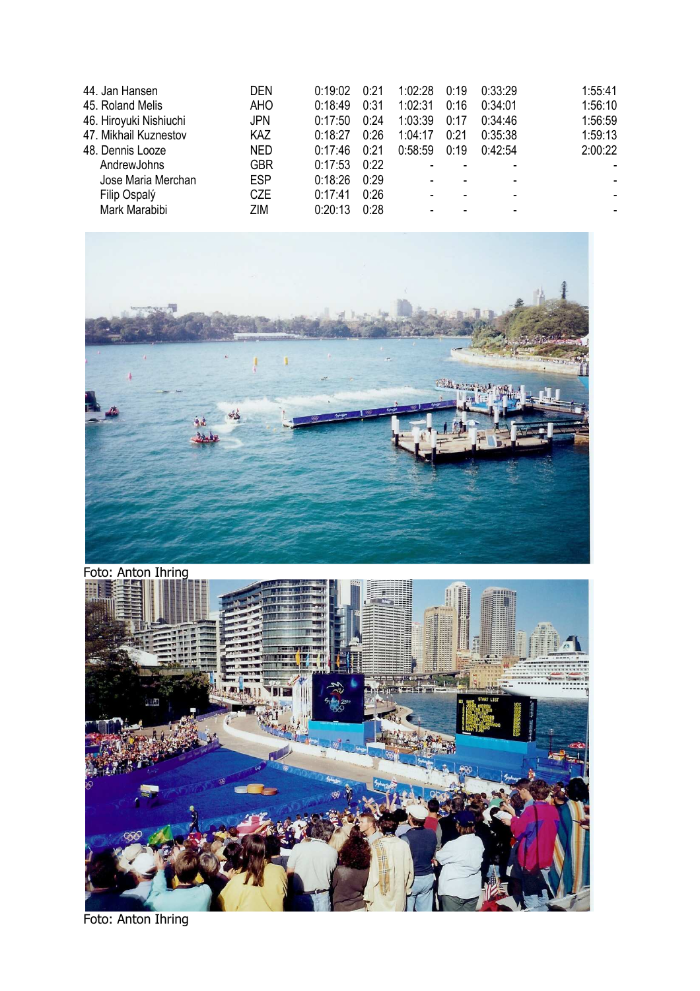| 44. Jan Hansen         | <b>DEN</b> | 0:19:02 | 0:21 | 1:02:28 | 0:19 | 0:33:29 | 1:55:41 |
|------------------------|------------|---------|------|---------|------|---------|---------|
| 45. Roland Melis       | <b>AHO</b> | 0:18:49 | 0:31 | 1:02:31 | 0:16 | 0:34:01 | 1:56:10 |
| 46. Hiroyuki Nishiuchi | <b>JPN</b> | 0:17:50 | 0:24 | 1:03:39 | 0:17 | 0:34:46 | 1:56:59 |
| 47. Mikhail Kuznestov  | KAZ        | 0:18:27 | 0:26 | 1:04:17 | 0:21 | 0:35:38 | 1:59:13 |
| 48. Dennis Looze       | <b>NED</b> | 0:17:46 | 0:21 | 0:58:59 | 0:19 | 0.42.54 | 2:00:22 |
| AndrewJohns            | <b>GBR</b> | 0:17:53 | 0:22 |         |      |         |         |
| Jose Maria Merchan     | <b>ESP</b> | 0:18:26 | 0:29 | ٠       |      |         |         |
| Filip Ospalý           | <b>CZE</b> | 0:17:41 | 0:26 | ۰       |      |         |         |
| Mark Marabibi          | ZIM        | 0:20:13 | 0:28 | ٠       |      |         |         |





Foto: Anton Ihring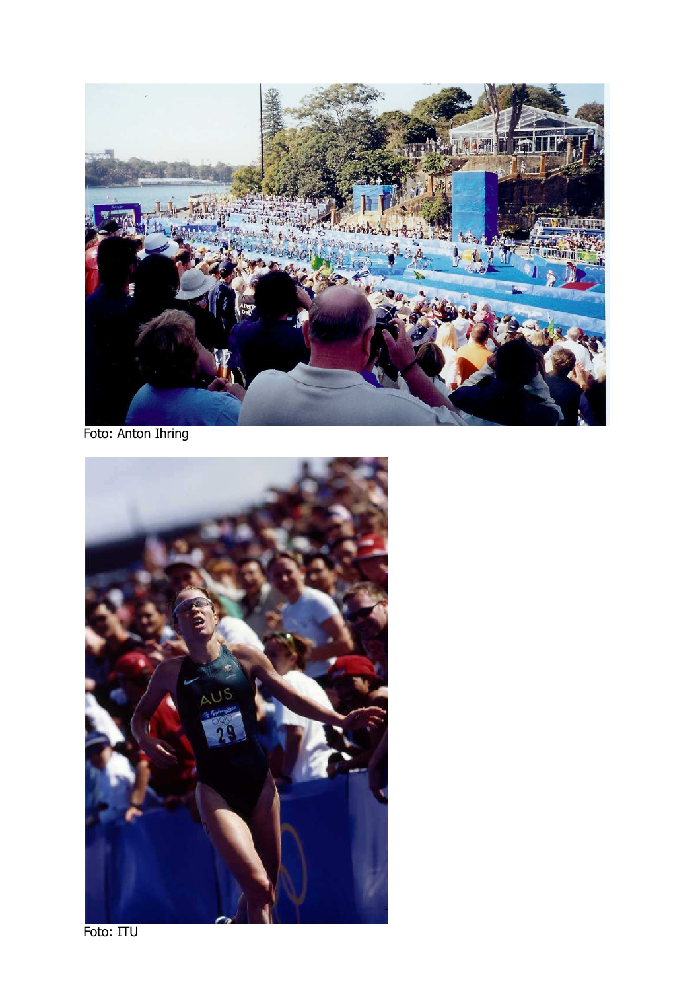

Foto: Anton Ihring



Foto: ITU